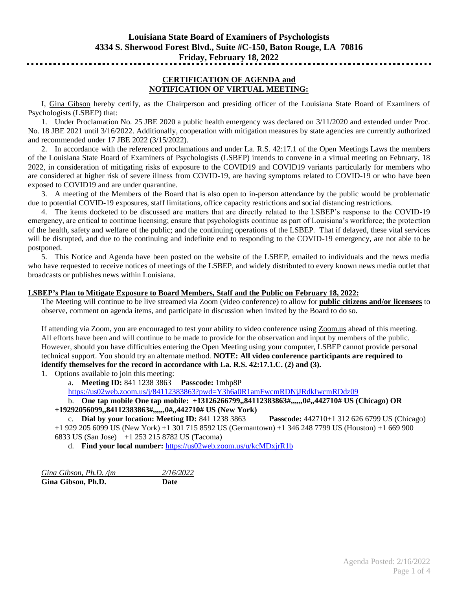# **CERTIFICATION OF AGENDA and NOTIFICATION OF VIRTUAL MEETING:**

I, Gina Gibson hereby certify, as the Chairperson and presiding officer of the Louisiana State Board of Examiners of Psychologists (LSBEP) that:

1. Under Proclamation No. 25 JBE 2020 a public health emergency was declared on 3/11/2020 and extended under Proc. No. 18 JBE 2021 until 3/16/2022. Additionally, cooperation with mitigation measures by state agencies are currently authorized and recommended under 17 JBE 2022 (3/15/2022).

2. In accordance with the referenced proclamations and under La. R.S. 42:17.1 of the Open Meetings Laws the members of the Louisiana State Board of Examiners of Psychologists (LSBEP) intends to convene in a virtual meeting on February, 18 2022, in consideration of mitigating risks of exposure to the COVID19 and COVID19 variants particularly for members who are considered at higher risk of severe illness from COVID-19, are having symptoms related to COVID-19 or who have been exposed to COVID19 and are under quarantine.

3. A meeting of the Members of the Board that is also open to in-person attendance by the public would be problematic due to potential COVID-19 exposures, staff limitations, office capacity restrictions and social distancing restrictions.

4. The items docketed to be discussed are matters that are directly related to the LSBEP's response to the COVID-19 emergency, are critical to continue licensing; ensure that psychologists continue as part of Louisiana's workforce; the protection of the health, safety and welfare of the public; and the continuing operations of the LSBEP. That if delayed, these vital services will be disrupted, and due to the continuing and indefinite end to responding to the COVID-19 emergency, are not able to be postponed.

5. This Notice and Agenda have been posted on the website of the LSBEP, emailed to individuals and the news media who have requested to receive notices of meetings of the LSBEP, and widely distributed to every known news media outlet that broadcasts or publishes news within Louisiana.

### **LSBEP's Plan to Mitigate Exposure to Board Members, Staff and the Public on February 18, 2022:**

The Meeting will continue to be live streamed via Zoom (video conference) to allow for **public citizens and/or licensees** to observe, comment on agenda items, and participate in discussion when invited by the Board to do so.

If attending via Zoom, you are encouraged to test your ability to video conference using Zoom.us ahead of this meeting. All efforts have been and will continue to be made to provide for the observation and input by members of the public. However, should you have difficulties entering the Open Meeting using your computer, LSBEP cannot provide personal technical support. You should try an alternate method. **NOTE: All video conference participants are required to identify themselves for the record in accordance with La. R.S. 42:17.1.C. (2) and (3).**

1. Options available to join this meeting:

a. **Meeting ID:** 841 1238 3863 **Passcode:** 1mhp8P

<https://us02web.zoom.us/j/84112383863?pwd=Y3h6a0R1amFwcmRDNjJRdkIwcmRDdz09>

b. **One tap mobile One tap mobile: +13126266799,,84112383863#,,,,,,0#,,442710# US (Chicago) OR +19292056099,,84112383863#,,,,,,0#,,442710# US (New York)**

c. **Dial by your location: Meeting ID:** 841 1238 3863 **Passcode:** 442710+1 312 626 6799 US (Chicago) +1 929 205 6099 US (New York) +1 301 715 8592 US (Germantown) +1 346 248 7799 US (Houston) +1 669 900 6833 US (San Jose) +1 253 215 8782 US (Tacoma)

d. **Find your local number:** <https://us02web.zoom.us/u/kcMDxjrR1b>

*Gina Gibson, Ph.D. /jm 2/16/2022* **Gina Gibson, Ph.D. Date**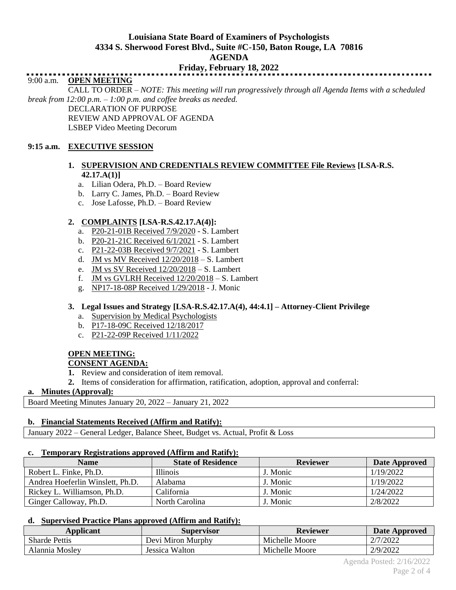# **Louisiana State Board of Examiners of Psychologists 4334 S. Sherwood Forest Blvd., Suite #C-150, Baton Rouge, LA 70816 AGENDA**

# **Friday, February 18, 2022**

# 9:00 a.m. **OPEN MEETING**

CALL TO ORDER – *NOTE: This meeting will run progressively through all Agenda Items with a scheduled break from 12:00 p.m. – 1:00 p.m. and coffee breaks as needed.*

DECLARATION OF PURPOSE REVIEW AND APPROVAL OF AGENDA LSBEP Video Meeting Decorum

# **9:15 a.m. EXECUTIVE SESSION**

# **1. SUPERVISION AND CREDENTIALS REVIEW COMMITTEE File Reviews [LSA-R.S. 42.17.A(1)]**

- a. Lilian Odera, Ph.D. Board Review
- b. Larry C. James, Ph.D. Board Review
- c. Jose Lafosse, Ph.D. Board Review

# **2. COMPLAINTS [LSA-R.S.42.17.A(4)]:**

- a. P20-21-01B Received 7/9/2020 S. Lambert
- b. P20-21-21C Received 6/1/2021 S. Lambert
- c. P21-22-03B Received 9/7/2021 S. Lambert
- d. JM vs MV Received 12/20/2018 S. Lambert
- e. JM vs SV Received 12/20/2018 S. Lambert
- f. JM vs GVLRH Received 12/20/2018 S. Lambert
- g. NP17-18-08P Received 1/29/2018 J. Monic

# **3. Legal Issues and Strategy [LSA-R.S.42.17.A(4), 44:4.1] – Attorney-Client Privilege**

- a. Supervision by Medical Psychologists
- b. P17-18-09C Received 12/18/2017
- c. P21-22-09P Received 1/11/2022

## **OPEN MEETING: CONSENT AGENDA:**

- **1.** Review and consideration of item removal.
- **2.** Items of consideration for affirmation, ratification, adoption, approval and conferral:

# **a. Minutes (Approval):**

Board Meeting Minutes January 20, 2022 – January 21, 2022

# **b. Financial Statements Received (Affirm and Ratify):**

January 2022 – General Ledger, Balance Sheet, Budget vs. Actual, Profit & Loss

# **c. Temporary Registrations approved (Affirm and Ratify):**

| <b>Name</b>                      | <b>State of Residence</b> | <b>Reviewer</b> | Date Approved |
|----------------------------------|---------------------------|-----------------|---------------|
| Robert L. Finke, Ph.D.           | <b>Illinois</b>           | J. Monic        | 1/19/2022     |
| Andrea Hoeferlin Winslett, Ph.D. | Alabama                   | J. Monic        | 1/19/2022     |
| Rickey L. Williamson, Ph.D.      | California                | J. Monic        | 1/24/2022     |
| Ginger Calloway, Ph.D.           | North Carolina            | J. Monic        | 2/8/2022      |

## **d. Supervised Practice Plans approved (Affirm and Ratify):**

| <b>Applicant</b>     | <b>Supervisor</b> | <b>Reviewer</b> | Date Approved |
|----------------------|-------------------|-----------------|---------------|
| <b>Sharde Pettis</b> | Devi Miron Murphy | Michelle Moore  | 2/7/2022      |
| Alannia Moslev       | Jessica Walton    | Michelle Moore  | 2/9/2022      |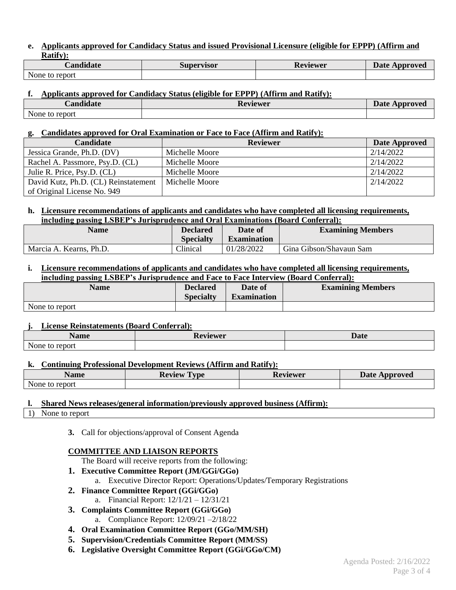#### **e. Applicants approved for Candidacy Status and issued Provisional Licensure (eligible for EPPP) (Affirm and Ratify):**

| $\cdots$         | Supervisor | ∽        | Date .   |
|------------------|------------|----------|----------|
| <b>Candidate</b> |            | Reviewer | Approved |
| None to report   |            |          |          |

# **f. Applicants approved for Candidacy Status (eligible for EPPP) (Affirm and Ratify):**

| $\blacksquare$<br><b>Candidate</b> | Reviewer | Date <b>D</b><br>: Approved |
|------------------------------------|----------|-----------------------------|
| None to report                     |          |                             |

## **g. Candidates approved for Oral Examination or Face to Face (Affirm and Ratify):**

| <b>Candidate</b>                     | <b>Reviewer</b> | Date Approved |
|--------------------------------------|-----------------|---------------|
| Jessica Grande, Ph.D. (DV)           | Michelle Moore  | 2/14/2022     |
| Rachel A. Passmore, Psy.D. (CL)      | Michelle Moore  | 2/14/2022     |
| Julie R. Price, Psy.D. (CL)          | Michelle Moore  | 2/14/2022     |
| David Kutz, Ph.D. (CL) Reinstatement | Michelle Moore  | 2/14/2022     |
| of Original License No. 949          |                 |               |

# **h. Licensure recommendations of applicants and candidates who have completed all licensing requirements, including passing LSBEP's Jurisprudence and Oral Examinations (Board Conferral):**

| Name                    | Declared         | Date of            | <b>Examining Members</b> |  |
|-------------------------|------------------|--------------------|--------------------------|--|
|                         | <b>Specialty</b> | <b>Examination</b> |                          |  |
| Marcia A. Kearns, Ph.D. | <b>Clinical</b>  | 01/28/2022         | Gina Gibson/Shavaun Sam  |  |

#### **i. Licensure recommendations of applicants and candidates who have completed all licensing requirements, including passing LSBEP's Jurisprudence and Face to Face Interview (Board Conferral):**

| <b>Name</b>    | <b>Declared</b><br><b>Specialty</b> | Date of<br><b>Examination</b> | <b>Examining Members</b> |
|----------------|-------------------------------------|-------------------------------|--------------------------|
| None to report |                                     |                               |                          |

## **j. License Reinstatements (Board Conferral):**

| --<br>$\overline{\phantom{a}}$<br>Name | n<br>Reviewer<br>17 C | Date |
|----------------------------------------|-----------------------|------|
| None.<br>report<br>w                   |                       |      |

## **k. Continuing Professional Development Reviews (Affirm and Ratify):**

| Name               | <b>Review</b><br>l vpe | Reviewer | <b>Date</b><br>Approved |
|--------------------|------------------------|----------|-------------------------|
| None.<br>to report |                        |          |                         |

# **l. Shared News releases/general information/previously approved business (Affirm):**

1) None to report

**3.** Call for objections/approval of Consent Agenda

## **COMMITTEE AND LIAISON REPORTS**

The Board will receive reports from the following:

- **1. Executive Committee Report (JM/GGi/GGo)**
	- a. Executive Director Report: Operations/Updates/Temporary Registrations
- **2. Finance Committee Report (GGi/GGo)**
	- a. Financial Report: 12/1/21 12/31/21
- **3. Complaints Committee Report (GGi/GGo)**
	- a. Compliance Report: 12/09/21 –2/18/22
- **4. Oral Examination Committee Report (GGo/MM/SH)**
- **5. Supervision/Credentials Committee Report (MM/SS)**
- **6. Legislative Oversight Committee Report (GGi/GGo/CM)**